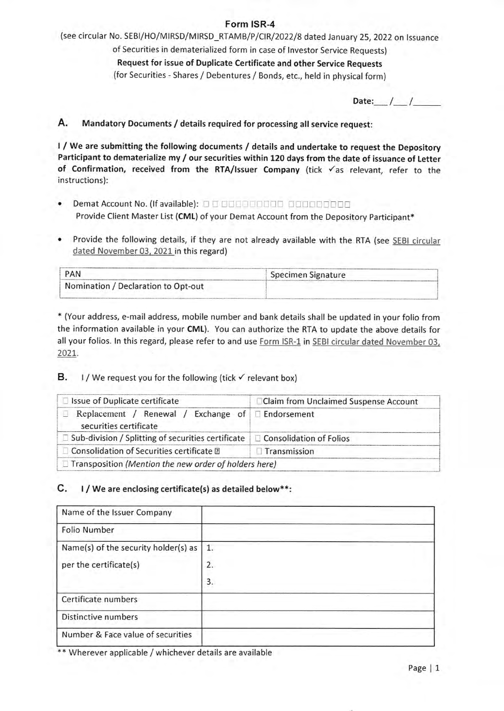## Form ISR-4

(see circular No. SEBI/HO/MIRSD/MIRSD\_RTAMB/P/CIR/2022/8 dated January 25, 2022 on Issuance of Securities in dematerialized form in case of lnvestor Service Requests) Request for issue of Duplicate Certificate and other Service Requests (for Securities - Shares / Debentures / Bonds, etc., held in physical form)

Date:  $/$  /

# A. Mandatory Documents / details required for processing all service request:

<sup>I</sup>/ We are submitting the following documents / details and undertake to request the Depository Participant to dematerialize my / our securities within 120 days from the date of issuance of Letter of Confirmation, received from the RTA/Issuer Company (tick  $\checkmark$  as relevant, refer to the instructions):

- Demat Account No. (lf available): . <sup>l</sup> Provide Client Master List (CML) of your Demat Account from the Depository Participant\*
- Provide the following details, if they are not already available with the RTA (see SEBI circular  $\bullet$ dated November 03, 2021 in this regard)

| PAN                                 | Specimen Signature |
|-------------------------------------|--------------------|
| Nomination / Declaration to Opt-out |                    |
|                                     |                    |

\* (Your address, e-mail address, mobile number and bank details shall be updated in your folio from the information available in your CML). You can authorize the RTA to update the above details for all your folios. In this regard, please refer to and use Form ISR-1 in SEBI circular dated November 03, 2021

### **B.** I/We request you for the following (tick  $\checkmark$  relevant box)

| Issue of Duplicate certificate                                                 | Claim from Unclaimed Suspense Account |  |
|--------------------------------------------------------------------------------|---------------------------------------|--|
| Replacement / Renewal /<br>securities certificate                              | Exchange of $\Box$ Endorsement        |  |
| Sub-division / Splitting of securities certificate   □ Consolidation of Folios |                                       |  |
| Consolidation of Securities certificate ?                                      | <b>Transmission</b>                   |  |
| $\Box$ Transposition (Mention the new order of holders here)                   |                                       |  |

### C. l/ We are enclosing certificate(s) as detailed below\*\*:

| Name of the Issuer Company           |                  |
|--------------------------------------|------------------|
| Folio Number                         |                  |
| Name(s) of the security holder(s) as | 1.               |
| per the certificate(s)               | $\overline{2}$ . |
|                                      | 3.               |
| Certificate numbers                  |                  |
| Distinctive numbers                  |                  |
| Number & Face value of securities    |                  |

\*\* Wherever applicable / whichever details are available